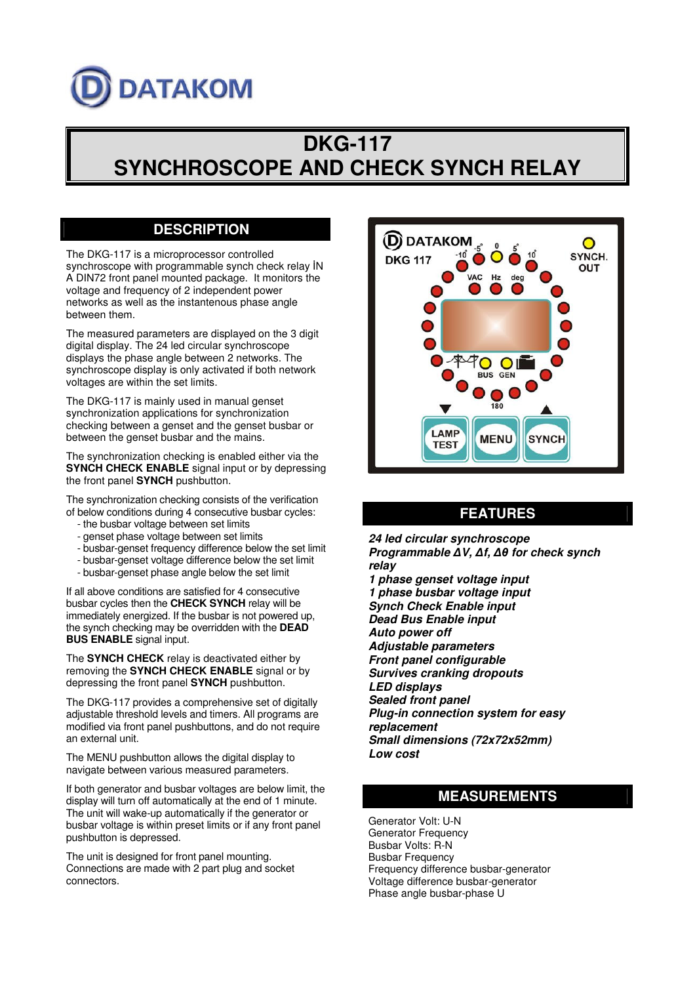# **DATAKOM**

# **DKG-117 SYNCHROSCOPE AND CHECK SYNCH RELAY**

# **DESCRIPTION**

The DKG-117 is a microprocessor controlled synchroscope with programmable synch check relay IN A DIN72 front panel mounted package. It monitors the voltage and frequency of 2 independent power networks as well as the instantenous phase angle between them.

The measured parameters are displayed on the 3 digit digital display. The 24 led circular synchroscope displays the phase angle between 2 networks. The synchroscope display is only activated if both network voltages are within the set limits.

The DKG-117 is mainly used in manual genset synchronization applications for synchronization checking between a genset and the genset busbar or between the genset busbar and the mains.

The synchronization checking is enabled either via the **SYNCH CHECK ENABLE** signal input or by depressing the front panel **SYNCH** pushbutton.

The synchronization checking consists of the verification of below conditions during 4 consecutive busbar cycles:

- the busbar voltage between set limits
- genset phase voltage between set limits
- busbar-genset frequency difference below the set limit
- busbar-genset voltage difference below the set limit
- busbar-genset phase angle below the set limit

If all above conditions are satisfied for 4 consecutive busbar cycles then the **CHECK SYNCH** relay will be immediately energized. If the busbar is not powered up, the synch checking may be overridden with the **DEAD BUS ENABLE** signal input.

The **SYNCH CHECK** relay is deactivated either by removing the **SYNCH CHECK ENABLE** signal or by depressing the front panel **SYNCH** pushbutton.

The DKG-117 provides a comprehensive set of digitally adjustable threshold levels and timers. All programs are modified via front panel pushbuttons, and do not require an external unit.

The MENU pushbutton allows the digital display to navigate between various measured parameters.

If both generator and busbar voltages are below limit, the display will turn off automatically at the end of 1 minute. The unit will wake-up automatically if the generator or busbar voltage is within preset limits or if any front panel pushbutton is depressed.

The unit is designed for front panel mounting. Connections are made with 2 part plug and socket connectors.



## **FEATURES**

*24 led circular synchroscope* **Programmable** ΔV, Δf, Δθ for check synch *relay*

*1 phase genset voltage input 1 phase busbar voltage input Synch Check Enable input Dead Bus Enable input Auto power off Adjustable parameters Front panel configurable Survives cranking dropouts LED displays Sealed front panel Plug-in connection system for easy replacement Small dimensions (72x72x52mm) Low cost*

### **MEASUREMENTS**

Generator Volt: U-N Generator Frequency Busbar Volts: R-N Busbar Frequency Frequency difference busbar-generator Voltage difference busbar-generator Phase angle busbar-phase U